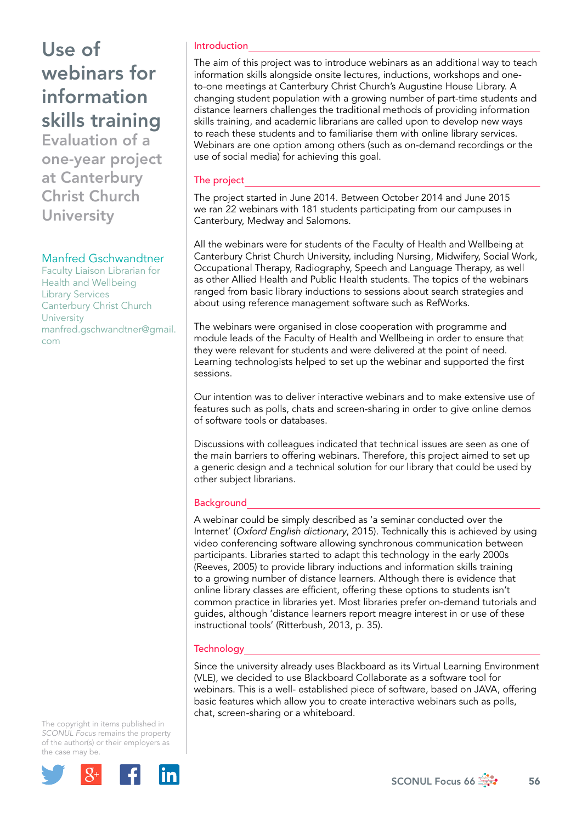Evaluation of a one-year project at Canterbury Christ Church **University** 

### Manfred Gschwandtner

Faculty Liaison Librarian for Health and Wellbeing Library Services Canterbury Christ Church **University** [manfred.gschwandtner@gmail.](mailto:manfred.gschwandtner@gmail.com) [com](mailto:manfred.gschwandtner@gmail.com)

#### Introduction

The aim of this project was to introduce webinars as an additional way to teach information skills alongside onsite lectures, inductions, workshops and oneto-one meetings at Canterbury Christ Church's Augustine House Library. A changing student population with a growing number of part-time students and distance learners challenges the traditional methods of providing information skills training, and academic librarians are called upon to develop new ways to reach these students and to familiarise them with online library services. Webinars are one option among others (such as on-demand recordings or the use of social media) for achieving this goal.

### The project

The project started in June 2014. Between October 2014 and June 2015 we ran 22 webinars with 181 students participating from our campuses in Canterbury, Medway and Salomons.

All the webinars were for students of the Faculty of Health and Wellbeing at Canterbury Christ Church University, including Nursing, Midwifery, Social Work, Occupational Therapy, Radiography, Speech and Language Therapy, as well as other Allied Health and Public Health students. The topics of the webinars ranged from basic library inductions to sessions about search strategies and about using reference management software such as RefWorks.

The webinars were organised in close cooperation with programme and module leads of the Faculty of Health and Wellbeing in order to ensure that they were relevant for students and were delivered at the point of need. Learning technologists helped to set up the webinar and supported the first sessions.

Our intention was to deliver interactive webinars and to make extensive use of features such as polls, chats and screen-sharing in order to give online demos of software tools or databases.

Discussions with colleagues indicated that technical issues are seen as one of the main barriers to offering webinars. Therefore, this project aimed to set up a generic design and a technical solution for our library that could be used by other subject librarians.

### **Background**

A webinar could be simply described as 'a seminar conducted over the Internet' (*Oxford English dictionary*, 2015). Technically this is achieved by using video conferencing software allowing synchronous communication between participants. Libraries started to adapt this technology in the early 2000s (Reeves, 2005) to provide library inductions and information skills training to a growing number of distance learners. Although there is evidence that online library classes are efficient, offering these options to students isn't common practice in libraries yet. Most libraries prefer on-demand tutorials and guides, although 'distance learners report meagre interest in or use of these instructional tools' (Ritterbush, 2013, p. 35).

## **Technology**

Since the university already uses Blackboard as its Virtual Learning Environment (VLE), we decided to use Blackboard Collaborate as a software tool for webinars. This is a well- established piece of software, based on JAVA, offering basic features which allow you to create interactive webinars such as polls, chat, screen-sharing or a whiteboard.

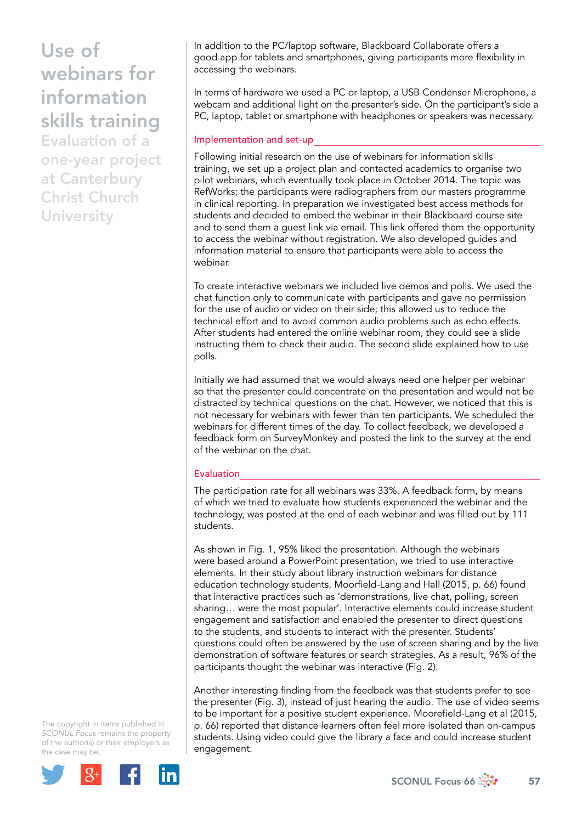Evaluation of a one-year project at Canterbury Christ Church **University** 

In addition to the PC/laptop software, Blackboard Collaborate offers a good app for tablets and smartphones, giving participants more flexibility in accessing the webinars.

In terms of hardware we used a PC or laptop, a USB Condenser Microphone, a webcam and additional light on the presenter's side. On the participant's side a PC, laptop, tablet or smartphone with headphones or speakers was necessary.

#### Implementation and set-up

Following initial research on the use of webinars for information skills training, we set up a project plan and contacted academics to organise two pilot webinars, which eventually took place in October 2014. The topic was RefWorks; the participants were radiographers from our masters programme in clinical reporting. In preparation we investigated best access methods for students and decided to embed the webinar in their Blackboard course site and to send them a guest link via email. This link offered them the opportunity to access the webinar without registration. We also developed guides and information material to ensure that participants were able to access the webinar.

To create interactive webinars we included live demos and polls. We used the chat function only to communicate with participants and gave no permission for the use of audio or video on their side; this allowed us to reduce the technical effort and to avoid common audio problems such as echo effects. After students had entered the online webinar room, they could see a slide instructing them to check their audio. The second slide explained how to use polls.

Initially we had assumed that we would always need one helper per webinar so that the presenter could concentrate on the presentation and would not be distracted by technical questions on the chat. However, we noticed that this is not necessary for webinars with fewer than ten participants. We scheduled the webinars for different times of the day. To collect feedback, we developed a feedback form on SurveyMonkey and posted the link to the survey at the end of the webinar on the chat.

#### **Evaluation**

The participation rate for all webinars was 33%. A feedback form, by means of which we tried to evaluate how students experienced the webinar and the technology, was posted at the end of each webinar and was filled out by 111 students.

As shown in Fig. 1, 95% liked the presentation. Although the webinars were based around a PowerPoint presentation, we tried to use interactive elements. In their study about library instruction webinars for distance education technology students, Moorfield-Lang and Hall (2015, p. 66) found that interactive practices such as 'demonstrations, live chat, polling, screen sharing… were the most popular'. Interactive elements could increase student engagement and satisfaction and enabled the presenter to direct questions to the students, and students to interact with the presenter. Students' questions could often be answered by the use of screen sharing and by the live demonstration of software features or search strategies. As a result, 96% of the participants thought the webinar was interactive (Fig. 2).

Another interesting finding from the feedback was that students prefer to see the presenter (Fig. 3), instead of just hearing the audio. The use of video seems to be important for a positive student experience. Moorefield-Lang et al (2015, p. 66) reported that distance learners often feel more isolated than on-campus students. Using video could give the library a face and could increase student engagement.

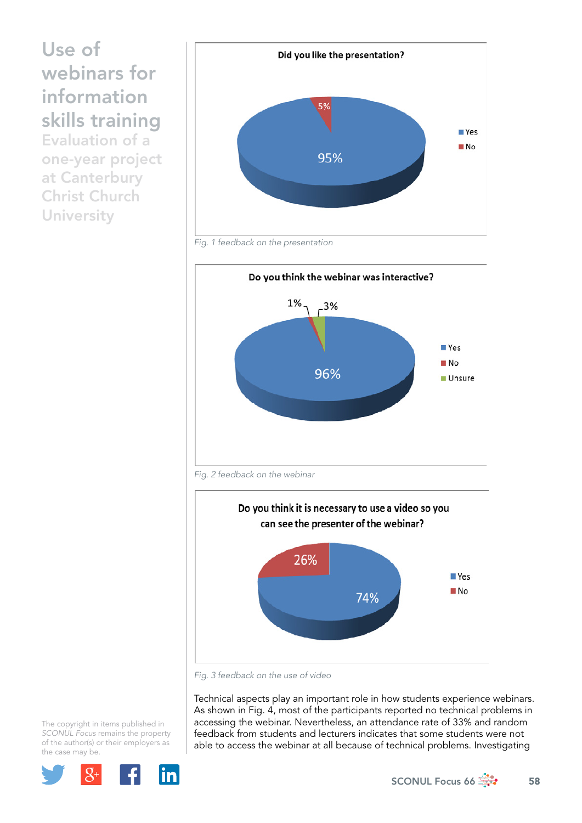Evaluation of a one-year project at Canterbury Christ Church **University** 



*Fig. 1 feedback on the presentation*





*Fig. 3 feedback on the use of video*

Technical aspects play an important role in how students experience webinars. As shown in Fig. 4, most of the participants reported no technical problems in accessing the webinar. Nevertheless, an attendance rate of 33% and random feedback from students and lecturers indicates that some students were not able to access the webinar at all because of technical problems. Investigating

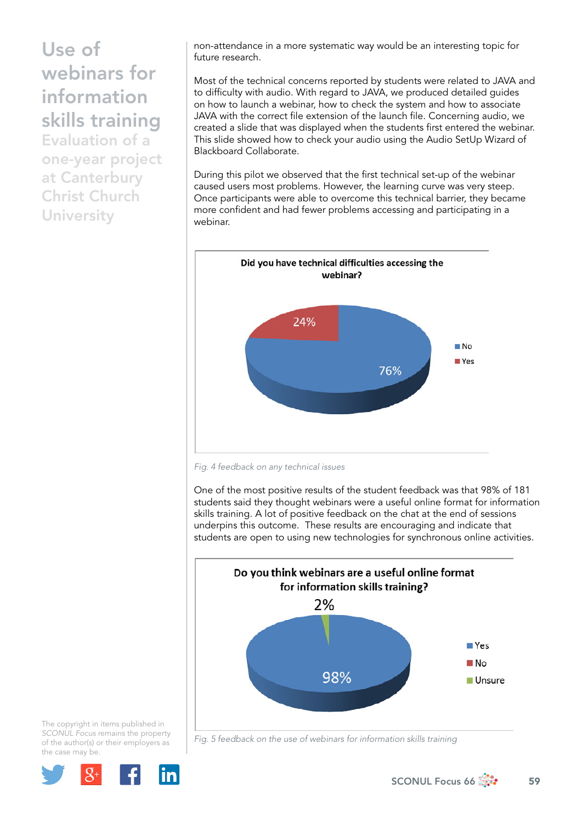Evaluation of a one-year project at Canterbury Christ Church **University** 

non-attendance in a more systematic way would be an interesting topic for future research.

Most of the technical concerns reported by students were related to JAVA and to difficulty with audio. With regard to JAVA, we produced detailed guides on how to launch a webinar, how to check the system and how to associate JAVA with the correct file extension of the launch file. Concerning audio, we created a slide that was displayed when the students first entered the webinar. This slide showed how to check your audio using the Audio SetUp Wizard of Blackboard Collaborate.

During this pilot we observed that the first technical set-up of the webinar caused users most problems. However, the learning curve was very steep. Once participants were able to overcome this technical barrier, they became more confident and had fewer problems accessing and participating in a webinar.



*Fig. 4 feedback on any technical issues*

One of the most positive results of the student feedback was that 98% of 181 students said they thought webinars were a useful online format for information skills training. A lot of positive feedback on the chat at the end of sessions underpins this outcome. These results are encouraging and indicate that students are open to using new technologies for synchronous online activities.





*Fig. 5 feedback on the use of webinars for information skills training*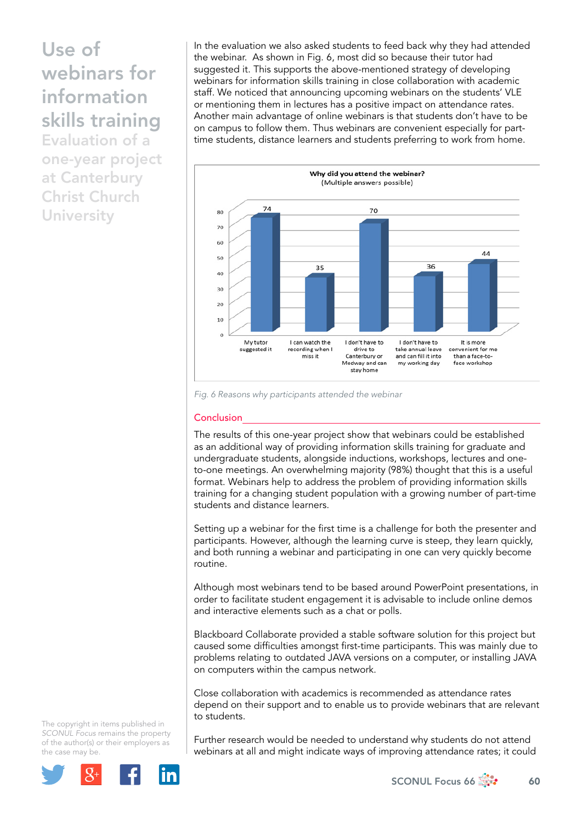Evaluation of a one-year project at Canterbury Christ Church **University** 

In the evaluation we also asked students to feed back why they had attended the webinar. As shown in Fig. 6, most did so because their tutor had suggested it. This supports the above-mentioned strategy of developing webinars for information skills training in close collaboration with academic staff. We noticed that announcing upcoming webinars on the students' VLE or mentioning them in lectures has a positive impact on attendance rates. Another main advantage of online webinars is that students don't have to be on campus to follow them. Thus webinars are convenient especially for parttime students, distance learners and students preferring to work from home.



*Fig. 6 Reasons why participants attended the webinar*

#### Conclusion

The results of this one-year project show that webinars could be established as an additional way of providing information skills training for graduate and undergraduate students, alongside inductions, workshops, lectures and oneto-one meetings. An overwhelming majority (98%) thought that this is a useful format. Webinars help to address the problem of providing information skills training for a changing student population with a growing number of part-time students and distance learners.

Setting up a webinar for the first time is a challenge for both the presenter and participants. However, although the learning curve is steep, they learn quickly, and both running a webinar and participating in one can very quickly become routine.

Although most webinars tend to be based around PowerPoint presentations, in order to facilitate student engagement it is advisable to include online demos and interactive elements such as a chat or polls.

Blackboard Collaborate provided a stable software solution for this project but caused some difficulties amongst first-time participants. This was mainly due to problems relating to outdated JAVA versions on a computer, or installing JAVA on computers within the campus network.

Close collaboration with academics is recommended as attendance rates depend on their support and to enable us to provide webinars that are relevant to students.

Further research would be needed to understand why students do not attend webinars at all and might indicate ways of improving attendance rates; it could